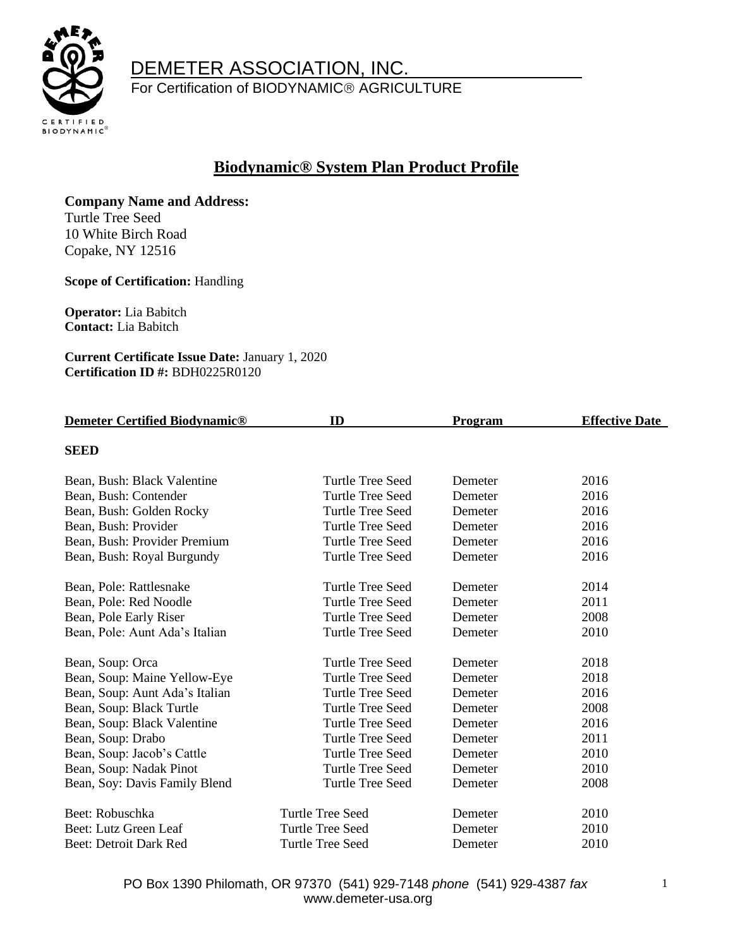

For Certification of BIODYNAMIC<sup>®</sup> AGRICULTURE

#### **Biodynamic® System Plan Product Profile**

**Company Name and Address:**  Turtle Tree Seed

10 White Birch Road Copake, NY 12516

**Scope of Certification:** Handling

**Operator:** Lia Babitch **Contact:** Lia Babitch

**Current Certificate Issue Date:** January 1, 2020 **Certification ID #:** BDH0225R0120

| <b>Demeter Certified Biodynamic®</b> | ID                      | <b>Program</b> | <b>Effective Date</b> |
|--------------------------------------|-------------------------|----------------|-----------------------|
| <b>SEED</b>                          |                         |                |                       |
|                                      |                         |                |                       |
| Bean, Bush: Black Valentine          | Turtle Tree Seed        | Demeter        | 2016                  |
| Bean, Bush: Contender                | Turtle Tree Seed        | Demeter        | 2016                  |
| Bean, Bush: Golden Rocky             | <b>Turtle Tree Seed</b> | Demeter        | 2016                  |
| Bean, Bush: Provider                 | Turtle Tree Seed        | Demeter        | 2016                  |
| Bean, Bush: Provider Premium         | <b>Turtle Tree Seed</b> | Demeter        | 2016                  |
| Bean, Bush: Royal Burgundy           | <b>Turtle Tree Seed</b> | Demeter        | 2016                  |
| Bean, Pole: Rattlesnake              | Turtle Tree Seed        | Demeter        | 2014                  |
| Bean, Pole: Red Noodle               | <b>Turtle Tree Seed</b> | Demeter        | 2011                  |
| Bean, Pole Early Riser               | <b>Turtle Tree Seed</b> | Demeter        | 2008                  |
| Bean, Pole: Aunt Ada's Italian       | <b>Turtle Tree Seed</b> | Demeter        | 2010                  |
| Bean, Soup: Orca                     | Turtle Tree Seed        | Demeter        | 2018                  |
| Bean, Soup: Maine Yellow-Eye         | <b>Turtle Tree Seed</b> | Demeter        | 2018                  |
| Bean, Soup: Aunt Ada's Italian       | <b>Turtle Tree Seed</b> | Demeter        | 2016                  |
| Bean, Soup: Black Turtle             | <b>Turtle Tree Seed</b> | Demeter        | 2008                  |
| Bean, Soup: Black Valentine          | Turtle Tree Seed        | Demeter        | 2016                  |
| Bean, Soup: Drabo                    | <b>Turtle Tree Seed</b> | Demeter        | 2011                  |
| Bean, Soup: Jacob's Cattle           | <b>Turtle Tree Seed</b> | Demeter        | 2010                  |
| Bean, Soup: Nadak Pinot              | Turtle Tree Seed        | Demeter        | 2010                  |
| Bean, Soy: Davis Family Blend        | <b>Turtle Tree Seed</b> | Demeter        | 2008                  |
| Beet: Robuschka                      | <b>Turtle Tree Seed</b> | Demeter        | 2010                  |
| Beet: Lutz Green Leaf                | <b>Turtle Tree Seed</b> | Demeter        | 2010                  |
| Beet: Detroit Dark Red               | Turtle Tree Seed        | Demeter        | 2010                  |

PO Box 1390 Philomath, OR 97370 (541) 929-7148 *phone* (541) 929-4387 *fax* www.demeter-usa.org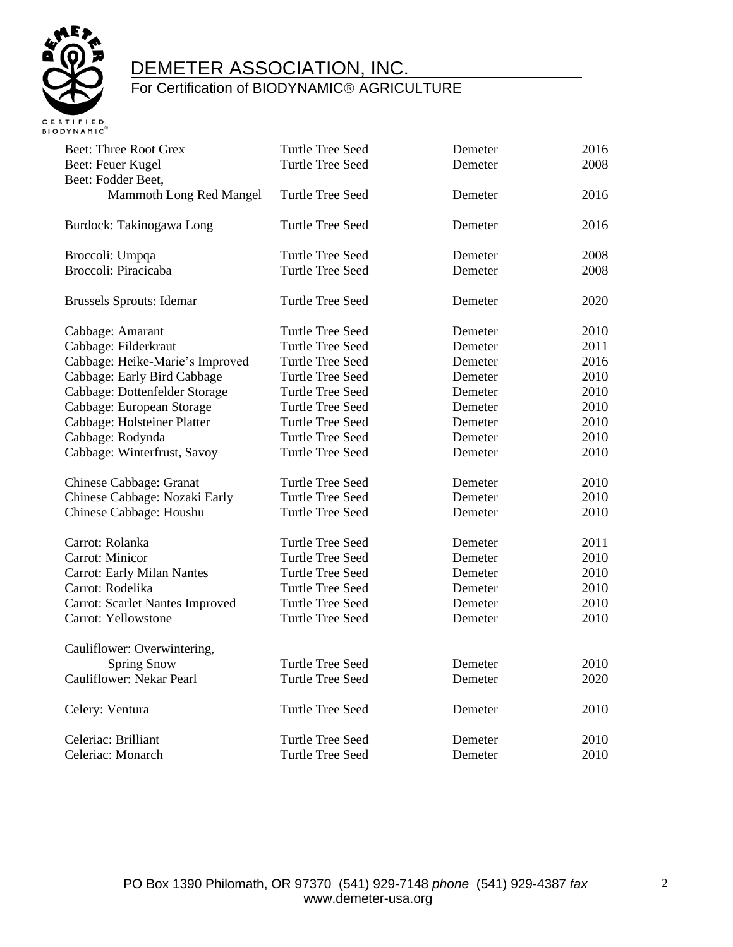

| <b>Beet: Three Root Grex</b>           | <b>Turtle Tree Seed</b> | Demeter | 2016 |
|----------------------------------------|-------------------------|---------|------|
| Beet: Feuer Kugel                      | <b>Turtle Tree Seed</b> | Demeter | 2008 |
| Beet: Fodder Beet,                     |                         |         |      |
| Mammoth Long Red Mangel                | Turtle Tree Seed        | Demeter | 2016 |
|                                        |                         |         |      |
| Burdock: Takinogawa Long               | <b>Turtle Tree Seed</b> | Demeter | 2016 |
|                                        |                         |         |      |
| Broccoli: Umpqa                        | <b>Turtle Tree Seed</b> | Demeter | 2008 |
| Broccoli: Piracicaba                   | <b>Turtle Tree Seed</b> | Demeter | 2008 |
|                                        |                         |         |      |
| <b>Brussels Sprouts: Idemar</b>        | <b>Turtle Tree Seed</b> | Demeter | 2020 |
| Cabbage: Amarant                       | <b>Turtle Tree Seed</b> | Demeter | 2010 |
| Cabbage: Filderkraut                   | <b>Turtle Tree Seed</b> | Demeter | 2011 |
| Cabbage: Heike-Marie's Improved        | <b>Turtle Tree Seed</b> | Demeter | 2016 |
| Cabbage: Early Bird Cabbage            | <b>Turtle Tree Seed</b> | Demeter | 2010 |
| Cabbage: Dottenfelder Storage          | <b>Turtle Tree Seed</b> | Demeter | 2010 |
| Cabbage: European Storage              | <b>Turtle Tree Seed</b> | Demeter | 2010 |
| Cabbage: Holsteiner Platter            | <b>Turtle Tree Seed</b> | Demeter | 2010 |
| Cabbage: Rodynda                       | <b>Turtle Tree Seed</b> | Demeter | 2010 |
| Cabbage: Winterfrust, Savoy            | <b>Turtle Tree Seed</b> | Demeter | 2010 |
|                                        |                         |         |      |
| Chinese Cabbage: Granat                | <b>Turtle Tree Seed</b> | Demeter | 2010 |
| Chinese Cabbage: Nozaki Early          | <b>Turtle Tree Seed</b> | Demeter | 2010 |
| Chinese Cabbage: Houshu                | <b>Turtle Tree Seed</b> | Demeter | 2010 |
|                                        |                         |         |      |
| Carrot: Rolanka                        | <b>Turtle Tree Seed</b> | Demeter | 2011 |
| Carrot: Minicor                        | <b>Turtle Tree Seed</b> | Demeter | 2010 |
| <b>Carrot: Early Milan Nantes</b>      | <b>Turtle Tree Seed</b> | Demeter | 2010 |
| Carrot: Rodelika                       | <b>Turtle Tree Seed</b> | Demeter | 2010 |
| <b>Carrot: Scarlet Nantes Improved</b> | <b>Turtle Tree Seed</b> | Demeter | 2010 |
| Carrot: Yellowstone                    | <b>Turtle Tree Seed</b> | Demeter | 2010 |
| Cauliflower: Overwintering,            |                         |         |      |
| <b>Spring Snow</b>                     | <b>Turtle Tree Seed</b> | Demeter | 2010 |
| Cauliflower: Nekar Pearl               | <b>Turtle Tree Seed</b> | Demeter | 2020 |
|                                        |                         |         |      |
| Celery: Ventura                        | <b>Turtle Tree Seed</b> | Demeter | 2010 |
|                                        |                         |         |      |
| Celeriac: Brilliant                    | <b>Turtle Tree Seed</b> | Demeter | 2010 |
| Celeriac: Monarch                      | <b>Turtle Tree Seed</b> | Demeter | 2010 |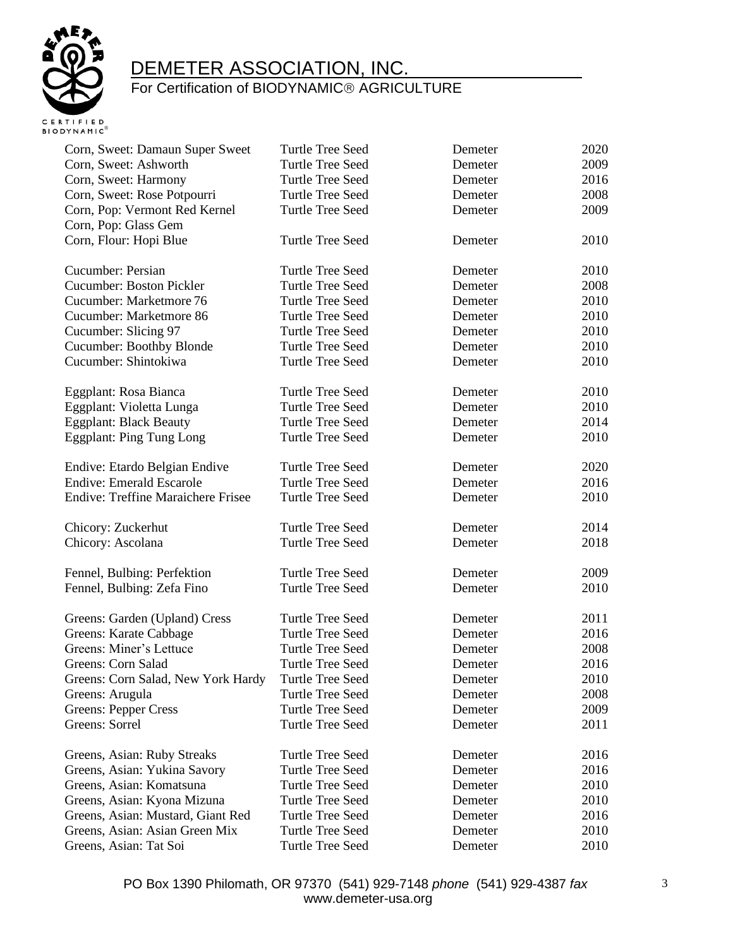

| Corn, Sweet: Damaun Super Sweet           | <b>Turtle Tree Seed</b> | Demeter | 2020 |
|-------------------------------------------|-------------------------|---------|------|
| Corn, Sweet: Ashworth                     | <b>Turtle Tree Seed</b> | Demeter | 2009 |
| Corn, Sweet: Harmony                      | <b>Turtle Tree Seed</b> | Demeter | 2016 |
| Corn, Sweet: Rose Potpourri               | Turtle Tree Seed        | Demeter | 2008 |
| Corn, Pop: Vermont Red Kernel             | Turtle Tree Seed        | Demeter | 2009 |
| Corn, Pop: Glass Gem                      |                         |         |      |
| Corn, Flour: Hopi Blue                    | <b>Turtle Tree Seed</b> | Demeter | 2010 |
| Cucumber: Persian                         | <b>Turtle Tree Seed</b> | Demeter | 2010 |
| <b>Cucumber: Boston Pickler</b>           | <b>Turtle Tree Seed</b> | Demeter | 2008 |
| Cucumber: Marketmore 76                   | <b>Turtle Tree Seed</b> | Demeter | 2010 |
| Cucumber: Marketmore 86                   | Turtle Tree Seed        | Demeter | 2010 |
| Cucumber: Slicing 97                      | <b>Turtle Tree Seed</b> | Demeter | 2010 |
| Cucumber: Boothby Blonde                  | <b>Turtle Tree Seed</b> | Demeter | 2010 |
| Cucumber: Shintokiwa                      | <b>Turtle Tree Seed</b> | Demeter | 2010 |
| Eggplant: Rosa Bianca                     | Turtle Tree Seed        | Demeter | 2010 |
| Eggplant: Violetta Lunga                  | Turtle Tree Seed        | Demeter | 2010 |
| <b>Eggplant: Black Beauty</b>             | Turtle Tree Seed        | Demeter | 2014 |
| <b>Eggplant: Ping Tung Long</b>           | Turtle Tree Seed        | Demeter | 2010 |
| Endive: Etardo Belgian Endive             | Turtle Tree Seed        | Demeter | 2020 |
| <b>Endive: Emerald Escarole</b>           | Turtle Tree Seed        | Demeter | 2016 |
| <b>Endive: Treffine Maraichere Frisee</b> | <b>Turtle Tree Seed</b> | Demeter | 2010 |
| Chicory: Zuckerhut                        | Turtle Tree Seed        | Demeter | 2014 |
| Chicory: Ascolana                         | <b>Turtle Tree Seed</b> | Demeter | 2018 |
| Fennel, Bulbing: Perfektion               | Turtle Tree Seed        | Demeter | 2009 |
| Fennel, Bulbing: Zefa Fino                | Turtle Tree Seed        | Demeter | 2010 |
| Greens: Garden (Upland) Cress             | Turtle Tree Seed        | Demeter | 2011 |
| Greens: Karate Cabbage                    | <b>Turtle Tree Seed</b> | Demeter | 2016 |
| Greens: Miner's Lettuce                   | Turtle Tree Seed        | Demeter | 2008 |
| Greens: Corn Salad                        | Turtle Tree Seed        | Demeter | 2016 |
| Greens: Corn Salad, New York Hardy        | Turtle Tree Seed        | Demeter | 2010 |
| Greens: Arugula                           | Turtle Tree Seed        | Demeter | 2008 |
| Greens: Pepper Cress                      | Turtle Tree Seed        | Demeter | 2009 |
| Greens: Sorrel                            | <b>Turtle Tree Seed</b> | Demeter | 2011 |
| Greens, Asian: Ruby Streaks               | Turtle Tree Seed        | Demeter | 2016 |
| Greens, Asian: Yukina Savory              | Turtle Tree Seed        | Demeter | 2016 |
| Greens, Asian: Komatsuna                  | Turtle Tree Seed        | Demeter | 2010 |
| Greens, Asian: Kyona Mizuna               | Turtle Tree Seed        | Demeter | 2010 |
| Greens, Asian: Mustard, Giant Red         | <b>Turtle Tree Seed</b> | Demeter | 2016 |
| Greens, Asian: Asian Green Mix            | Turtle Tree Seed        | Demeter | 2010 |
| Greens, Asian: Tat Soi                    | Turtle Tree Seed        | Demeter | 2010 |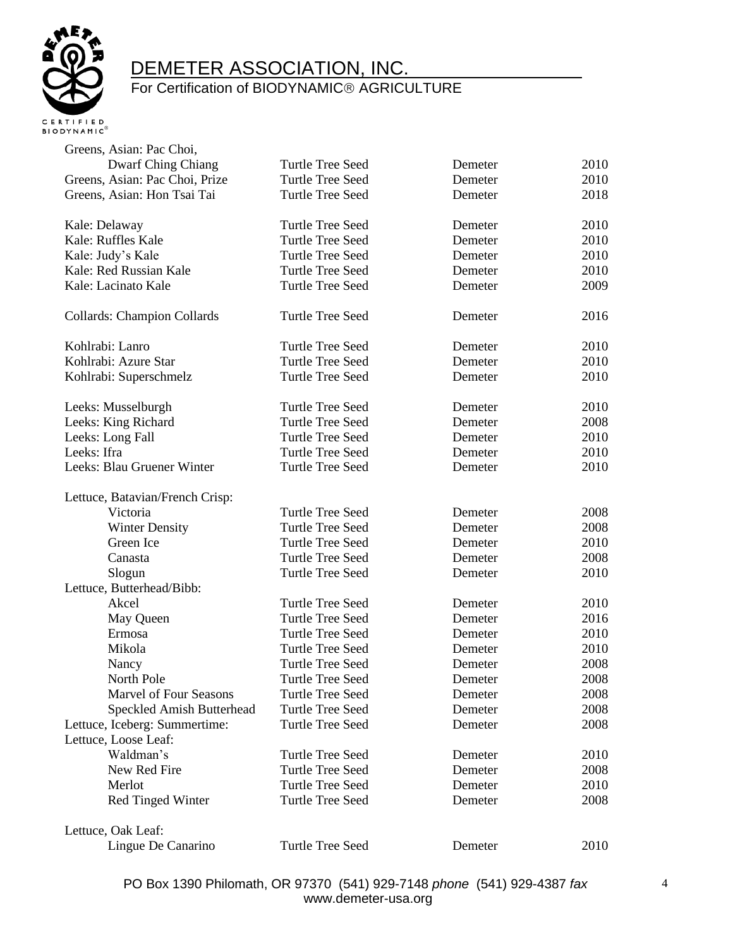

| Greens, Asian: Pac Choi,           |                         |         |      |
|------------------------------------|-------------------------|---------|------|
| <b>Dwarf Ching Chiang</b>          | Turtle Tree Seed        | Demeter | 2010 |
| Greens, Asian: Pac Choi, Prize     | Turtle Tree Seed        | Demeter | 2010 |
| Greens, Asian: Hon Tsai Tai        | Turtle Tree Seed        | Demeter | 2018 |
| Kale: Delaway                      | Turtle Tree Seed        | Demeter | 2010 |
| Kale: Ruffles Kale                 | Turtle Tree Seed        | Demeter | 2010 |
| Kale: Judy's Kale                  | Turtle Tree Seed        | Demeter | 2010 |
| Kale: Red Russian Kale             | Turtle Tree Seed        | Demeter | 2010 |
| Kale: Lacinato Kale                | Turtle Tree Seed        | Demeter | 2009 |
| <b>Collards: Champion Collards</b> | Turtle Tree Seed        | Demeter | 2016 |
| Kohlrabi: Lanro                    | Turtle Tree Seed        | Demeter | 2010 |
| Kohlrabi: Azure Star               | <b>Turtle Tree Seed</b> | Demeter | 2010 |
| Kohlrabi: Superschmelz             | <b>Turtle Tree Seed</b> | Demeter | 2010 |
| Leeks: Musselburgh                 | <b>Turtle Tree Seed</b> | Demeter | 2010 |
| Leeks: King Richard                | <b>Turtle Tree Seed</b> | Demeter | 2008 |
| Leeks: Long Fall                   | Turtle Tree Seed        | Demeter | 2010 |
| Leeks: Ifra                        | Turtle Tree Seed        | Demeter | 2010 |
| Leeks: Blau Gruener Winter         | <b>Turtle Tree Seed</b> | Demeter | 2010 |
| Lettuce, Batavian/French Crisp:    |                         |         |      |
| Victoria                           | <b>Turtle Tree Seed</b> | Demeter | 2008 |
| <b>Winter Density</b>              | Turtle Tree Seed        | Demeter | 2008 |
| Green Ice                          | <b>Turtle Tree Seed</b> | Demeter | 2010 |
| Canasta                            | Turtle Tree Seed        | Demeter | 2008 |
| Slogun                             | <b>Turtle Tree Seed</b> | Demeter | 2010 |
| Lettuce, Butterhead/Bibb:          |                         |         |      |
| Akcel                              | <b>Turtle Tree Seed</b> | Demeter | 2010 |
| May Queen                          | <b>Turtle Tree Seed</b> | Demeter | 2016 |
| Ermosa                             | <b>Turtle Tree Seed</b> | Demeter | 2010 |
| Mikola                             | <b>Turtle Tree Seed</b> | Demeter | 2010 |
| Nancy                              | <b>Turtle Tree Seed</b> | Demeter | 2008 |
| North Pole                         | Turtle Tree Seed        | Demeter | 2008 |
| <b>Marvel of Four Seasons</b>      | Turtle Tree Seed        | Demeter | 2008 |
| Speckled Amish Butterhead          | <b>Turtle Tree Seed</b> | Demeter | 2008 |
| Lettuce, Iceberg: Summertime:      | <b>Turtle Tree Seed</b> | Demeter | 2008 |
| Lettuce, Loose Leaf:               |                         |         |      |
| Waldman's                          | <b>Turtle Tree Seed</b> | Demeter | 2010 |
| New Red Fire                       | <b>Turtle Tree Seed</b> | Demeter | 2008 |
| Merlot                             | <b>Turtle Tree Seed</b> | Demeter | 2010 |
| <b>Red Tinged Winter</b>           | Turtle Tree Seed        | Demeter | 2008 |
| Lettuce, Oak Leaf:                 |                         |         |      |
| Lingue De Canarino                 | Turtle Tree Seed        | Demeter | 2010 |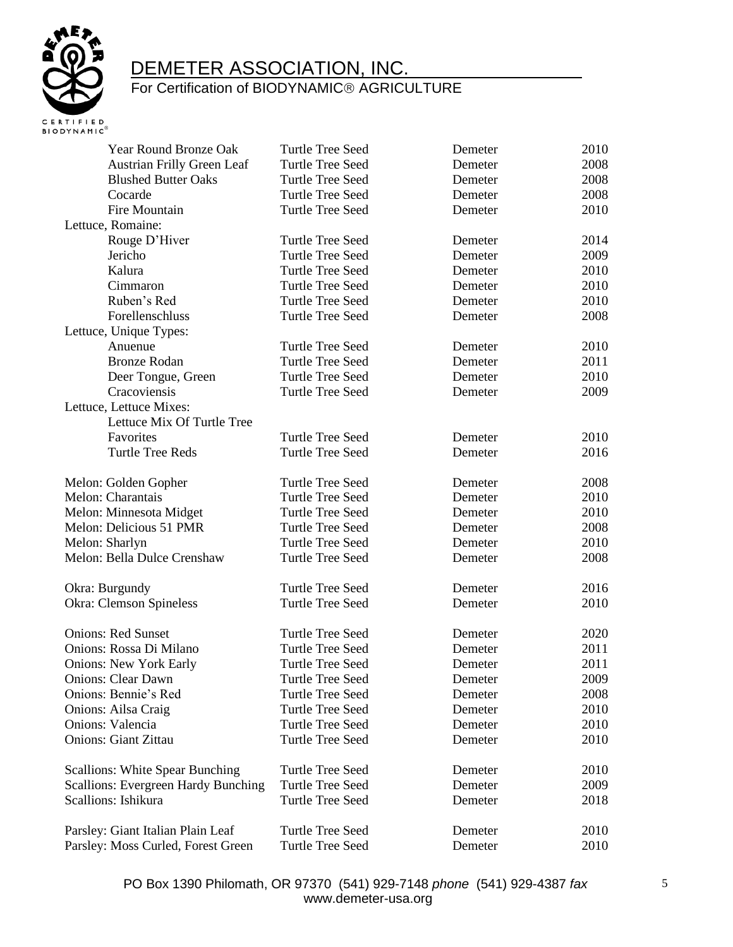

| Year Round Bronze Oak                  | Turtle Tree Seed        | Demeter | 2010 |
|----------------------------------------|-------------------------|---------|------|
| <b>Austrian Frilly Green Leaf</b>      | <b>Turtle Tree Seed</b> | Demeter | 2008 |
| <b>Blushed Butter Oaks</b>             | Turtle Tree Seed        | Demeter | 2008 |
| Cocarde                                | Turtle Tree Seed        | Demeter | 2008 |
| Fire Mountain                          | Turtle Tree Seed        | Demeter | 2010 |
| Lettuce, Romaine:                      |                         |         |      |
| Rouge D'Hiver                          | Turtle Tree Seed        | Demeter | 2014 |
| Jericho                                | <b>Turtle Tree Seed</b> | Demeter | 2009 |
| Kalura                                 | <b>Turtle Tree Seed</b> | Demeter | 2010 |
| Cimmaron                               | <b>Turtle Tree Seed</b> | Demeter | 2010 |
| Ruben's Red                            | Turtle Tree Seed        | Demeter | 2010 |
| Forellenschluss                        | <b>Turtle Tree Seed</b> | Demeter | 2008 |
| Lettuce, Unique Types:                 |                         |         |      |
| Anuenue                                | Turtle Tree Seed        | Demeter | 2010 |
| <b>Bronze Rodan</b>                    | Turtle Tree Seed        | Demeter | 2011 |
| Deer Tongue, Green                     | Turtle Tree Seed        | Demeter | 2010 |
| Cracoviensis                           | Turtle Tree Seed        | Demeter | 2009 |
| Lettuce, Lettuce Mixes:                |                         |         |      |
| Lettuce Mix Of Turtle Tree             |                         |         |      |
| Favorites                              | <b>Turtle Tree Seed</b> | Demeter | 2010 |
| <b>Turtle Tree Reds</b>                | Turtle Tree Seed        | Demeter | 2016 |
|                                        |                         |         |      |
| Melon: Golden Gopher                   | Turtle Tree Seed        | Demeter | 2008 |
| Melon: Charantais                      | Turtle Tree Seed        | Demeter | 2010 |
| Melon: Minnesota Midget                | Turtle Tree Seed        | Demeter | 2010 |
| Melon: Delicious 51 PMR                | Turtle Tree Seed        | Demeter | 2008 |
| Melon: Sharlyn                         | <b>Turtle Tree Seed</b> | Demeter | 2010 |
| Melon: Bella Dulce Crenshaw            | <b>Turtle Tree Seed</b> | Demeter | 2008 |
|                                        |                         |         |      |
| Okra: Burgundy                         | <b>Turtle Tree Seed</b> | Demeter | 2016 |
| <b>Okra: Clemson Spineless</b>         | Turtle Tree Seed        | Demeter | 2010 |
|                                        |                         |         |      |
| <b>Onions: Red Sunset</b>              | Turtle Tree Seed        | Demeter | 2020 |
| Onions: Rossa Di Milano                | Turtle Tree Seed        | Demeter | 2011 |
| <b>Onions: New York Early</b>          | Turtle Tree Seed        | Demeter | 2011 |
| <b>Onions: Clear Dawn</b>              | Turtle Tree Seed        | Demeter | 2009 |
| Onions: Bennie's Red                   | <b>Turtle Tree Seed</b> | Demeter | 2008 |
| Onions: Ailsa Craig                    | <b>Turtle Tree Seed</b> | Demeter | 2010 |
| Onions: Valencia                       | Turtle Tree Seed        | Demeter | 2010 |
| <b>Onions: Giant Zittau</b>            | Turtle Tree Seed        | Demeter | 2010 |
|                                        |                         |         |      |
| <b>Scallions: White Spear Bunching</b> | Turtle Tree Seed        | Demeter | 2010 |
| Scallions: Evergreen Hardy Bunching    | Turtle Tree Seed        | Demeter | 2009 |
| Scallions: Ishikura                    | Turtle Tree Seed        | Demeter | 2018 |
|                                        |                         |         |      |
| Parsley: Giant Italian Plain Leaf      | Turtle Tree Seed        | Demeter | 2010 |
| Parsley: Moss Curled, Forest Green     | Turtle Tree Seed        | Demeter | 2010 |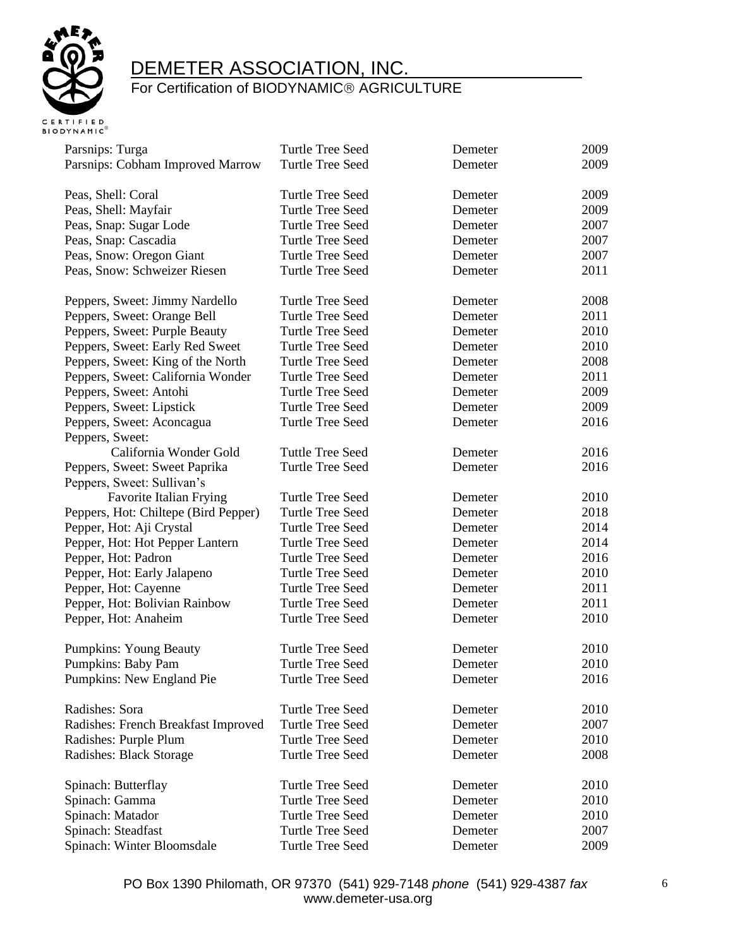

| Parsnips: Turga                      | Turtle Tree Seed        | Demeter | 2009 |
|--------------------------------------|-------------------------|---------|------|
| Parsnips: Cobham Improved Marrow     | Turtle Tree Seed        | Demeter | 2009 |
|                                      |                         |         |      |
| Peas, Shell: Coral                   | Turtle Tree Seed        | Demeter | 2009 |
| Peas, Shell: Mayfair                 | Turtle Tree Seed        | Demeter | 2009 |
| Peas, Snap: Sugar Lode               | Turtle Tree Seed        | Demeter | 2007 |
| Peas, Snap: Cascadia                 | Turtle Tree Seed        | Demeter | 2007 |
| Peas, Snow: Oregon Giant             | Turtle Tree Seed        | Demeter | 2007 |
| Peas, Snow: Schweizer Riesen         | Turtle Tree Seed        | Demeter | 2011 |
|                                      |                         |         |      |
| Peppers, Sweet: Jimmy Nardello       | Turtle Tree Seed        | Demeter | 2008 |
| Peppers, Sweet: Orange Bell          | Turtle Tree Seed        | Demeter | 2011 |
| Peppers, Sweet: Purple Beauty        | Turtle Tree Seed        | Demeter | 2010 |
| Peppers, Sweet: Early Red Sweet      | Turtle Tree Seed        | Demeter | 2010 |
| Peppers, Sweet: King of the North    | Turtle Tree Seed        | Demeter | 2008 |
| Peppers, Sweet: California Wonder    | Turtle Tree Seed        | Demeter | 2011 |
| Peppers, Sweet: Antohi               | Turtle Tree Seed        | Demeter | 2009 |
| Peppers, Sweet: Lipstick             | Turtle Tree Seed        | Demeter | 2009 |
| Peppers, Sweet: Aconcagua            | <b>Turtle Tree Seed</b> | Demeter | 2016 |
| Peppers, Sweet:                      |                         |         |      |
| California Wonder Gold               | <b>Tuttle Tree Seed</b> | Demeter | 2016 |
| Peppers, Sweet: Sweet Paprika        | Turtle Tree Seed        | Demeter | 2016 |
| Peppers, Sweet: Sullivan's           |                         |         |      |
| Favorite Italian Frying              | Turtle Tree Seed        | Demeter | 2010 |
| Peppers, Hot: Chiltepe (Bird Pepper) | Turtle Tree Seed        | Demeter | 2018 |
| Pepper, Hot: Aji Crystal             | Turtle Tree Seed        | Demeter | 2014 |
|                                      | Turtle Tree Seed        | Demeter | 2014 |
| Pepper, Hot: Hot Pepper Lantern      |                         |         | 2016 |
| Pepper, Hot: Padron                  | <b>Turtle Tree Seed</b> | Demeter |      |
| Pepper, Hot: Early Jalapeno          | Turtle Tree Seed        | Demeter | 2010 |
| Pepper, Hot: Cayenne                 | Turtle Tree Seed        | Demeter | 2011 |
| Pepper, Hot: Bolivian Rainbow        | Turtle Tree Seed        | Demeter | 2011 |
| Pepper, Hot: Anaheim                 | Turtle Tree Seed        | Demeter | 2010 |
|                                      |                         |         |      |
| <b>Pumpkins: Young Beauty</b>        | Turtle Tree Seed        | Demeter | 2010 |
| Pumpkins: Baby Pam                   | Turtle Tree Seed        | Demeter | 2010 |
| Pumpkins: New England Pie            | <b>Turtle Tree Seed</b> | Demeter | 2016 |
|                                      |                         |         |      |
| Radishes: Sora                       | Turtle Tree Seed        | Demeter | 2010 |
| Radishes: French Breakfast Improved  | <b>Turtle Tree Seed</b> | Demeter | 2007 |
| Radishes: Purple Plum                | Turtle Tree Seed        | Demeter | 2010 |
| Radishes: Black Storage              | Turtle Tree Seed        | Demeter | 2008 |
| Spinach: Butterflay                  | Turtle Tree Seed        | Demeter | 2010 |
| Spinach: Gamma                       | Turtle Tree Seed        | Demeter | 2010 |
| Spinach: Matador                     | <b>Turtle Tree Seed</b> | Demeter | 2010 |
| Spinach: Steadfast                   | Turtle Tree Seed        | Demeter | 2007 |
|                                      | Turtle Tree Seed        |         | 2009 |
| Spinach: Winter Bloomsdale           |                         | Demeter |      |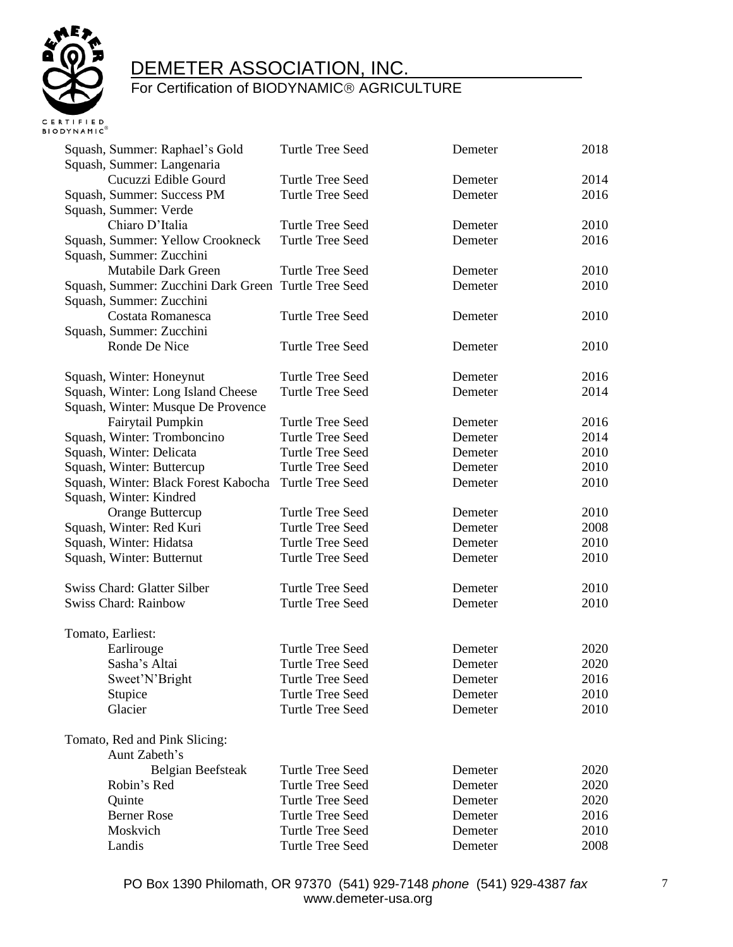

| Squash, Summer: Raphael's Gold<br>Squash, Summer: Langenaria | <b>Turtle Tree Seed</b> | Demeter | 2018 |
|--------------------------------------------------------------|-------------------------|---------|------|
| Cucuzzi Edible Gourd                                         | <b>Turtle Tree Seed</b> | Demeter | 2014 |
| Squash, Summer: Success PM                                   | <b>Turtle Tree Seed</b> | Demeter | 2016 |
| Squash, Summer: Verde                                        |                         |         |      |
| Chiaro D'Italia                                              | Turtle Tree Seed        | Demeter | 2010 |
|                                                              | <b>Turtle Tree Seed</b> |         | 2016 |
| Squash, Summer: Yellow Crookneck                             |                         | Demeter |      |
| Squash, Summer: Zucchini                                     |                         |         |      |
| Mutabile Dark Green                                          | <b>Turtle Tree Seed</b> | Demeter | 2010 |
| Squash, Summer: Zucchini Dark Green Turtle Tree Seed         |                         | Demeter | 2010 |
| Squash, Summer: Zucchini                                     |                         |         |      |
| Costata Romanesca                                            | <b>Turtle Tree Seed</b> | Demeter | 2010 |
| Squash, Summer: Zucchini                                     |                         |         |      |
| Ronde De Nice                                                | Turtle Tree Seed        | Demeter | 2010 |
| Squash, Winter: Honeynut                                     | Turtle Tree Seed        | Demeter | 2016 |
| Squash, Winter: Long Island Cheese                           | Turtle Tree Seed        | Demeter | 2014 |
| Squash, Winter: Musque De Provence                           |                         |         |      |
| Fairytail Pumpkin                                            | <b>Turtle Tree Seed</b> | Demeter | 2016 |
| Squash, Winter: Tromboncino                                  | <b>Turtle Tree Seed</b> | Demeter | 2014 |
| Squash, Winter: Delicata                                     | <b>Turtle Tree Seed</b> | Demeter | 2010 |
| Squash, Winter: Buttercup                                    | Turtle Tree Seed        | Demeter | 2010 |
| Squash, Winter: Black Forest Kabocha                         | Turtle Tree Seed        | Demeter | 2010 |
| Squash, Winter: Kindred                                      |                         |         |      |
| Orange Buttercup                                             | <b>Turtle Tree Seed</b> | Demeter | 2010 |
| Squash, Winter: Red Kuri                                     | <b>Turtle Tree Seed</b> | Demeter | 2008 |
| Squash, Winter: Hidatsa                                      | <b>Turtle Tree Seed</b> | Demeter | 2010 |
| Squash, Winter: Butternut                                    | <b>Turtle Tree Seed</b> | Demeter | 2010 |
|                                                              |                         |         |      |
| Swiss Chard: Glatter Silber                                  | <b>Turtle Tree Seed</b> | Demeter | 2010 |
| <b>Swiss Chard: Rainbow</b>                                  | <b>Turtle Tree Seed</b> | Demeter | 2010 |
| Tomato, Earliest:                                            |                         |         |      |
| Earlirouge                                                   | Turtle Tree Seed        | Demeter | 2020 |
| Sasha's Altai                                                | <b>Turtle Tree Seed</b> | Demeter | 2020 |
| Sweet'N'Bright                                               | Turtle Tree Seed        | Demeter | 2016 |
| Stupice                                                      | <b>Turtle Tree Seed</b> | Demeter | 2010 |
| Glacier                                                      | Turtle Tree Seed        | Demeter | 2010 |
|                                                              |                         |         |      |
| Tomato, Red and Pink Slicing:                                |                         |         |      |
| Aunt Zabeth's                                                |                         |         |      |
| Belgian Beefsteak                                            | Turtle Tree Seed        | Demeter | 2020 |
| Robin's Red                                                  | <b>Turtle Tree Seed</b> | Demeter | 2020 |
| Quinte                                                       | <b>Turtle Tree Seed</b> | Demeter | 2020 |
| <b>Berner Rose</b>                                           | Turtle Tree Seed        | Demeter | 2016 |
| Moskvich                                                     | <b>Turtle Tree Seed</b> | Demeter | 2010 |
| Landis                                                       | <b>Turtle Tree Seed</b> | Demeter | 2008 |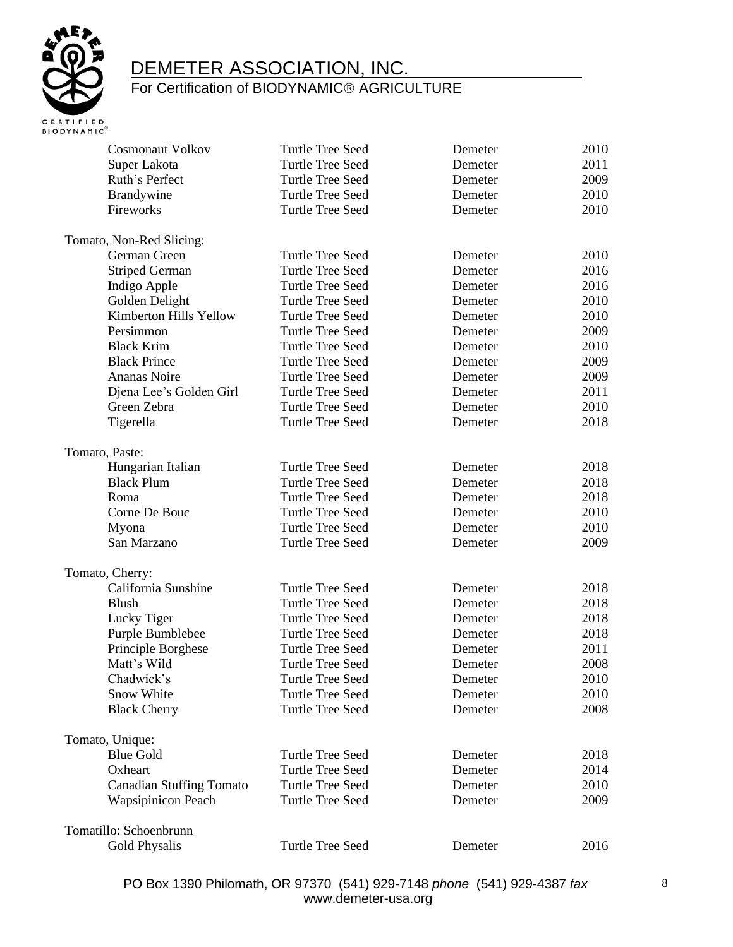

| <b>Cosmonaut Volkov</b>         | Turtle Tree Seed        | Demeter | 2010 |
|---------------------------------|-------------------------|---------|------|
| Super Lakota                    | Turtle Tree Seed        | Demeter | 2011 |
| Ruth's Perfect                  | Turtle Tree Seed        | Demeter | 2009 |
| Brandywine                      | Turtle Tree Seed        | Demeter | 2010 |
| Fireworks                       | Turtle Tree Seed        | Demeter | 2010 |
| Tomato, Non-Red Slicing:        |                         |         |      |
| German Green                    | Turtle Tree Seed        | Demeter | 2010 |
| <b>Striped German</b>           | Turtle Tree Seed        | Demeter | 2016 |
| Indigo Apple                    | Turtle Tree Seed        | Demeter | 2016 |
| Golden Delight                  | Turtle Tree Seed        | Demeter | 2010 |
| Kimberton Hills Yellow          | Turtle Tree Seed        | Demeter | 2010 |
| Persimmon                       | Turtle Tree Seed        | Demeter | 2009 |
| <b>Black Krim</b>               | <b>Turtle Tree Seed</b> | Demeter | 2010 |
| <b>Black Prince</b>             | Turtle Tree Seed        | Demeter | 2009 |
| <b>Ananas Noire</b>             | <b>Turtle Tree Seed</b> | Demeter | 2009 |
| Djena Lee's Golden Girl         | Turtle Tree Seed        | Demeter | 2011 |
| Green Zebra                     | Turtle Tree Seed        | Demeter | 2010 |
| Tigerella                       | Turtle Tree Seed        | Demeter | 2018 |
| Tomato, Paste:                  |                         |         |      |
| Hungarian Italian               | Turtle Tree Seed        | Demeter | 2018 |
| <b>Black Plum</b>               | Turtle Tree Seed        | Demeter | 2018 |
| Roma                            | Turtle Tree Seed        | Demeter | 2018 |
| Corne De Bouc                   | Turtle Tree Seed        | Demeter | 2010 |
| Myona                           | Turtle Tree Seed        | Demeter | 2010 |
| San Marzano                     | Turtle Tree Seed        | Demeter | 2009 |
| Tomato, Cherry:                 |                         |         |      |
| California Sunshine             | Turtle Tree Seed        | Demeter | 2018 |
| <b>Blush</b>                    | Turtle Tree Seed        | Demeter | 2018 |
| Lucky Tiger                     | Turtle Tree Seed        | Demeter | 2018 |
| Purple Bumblebee                | Turtle Tree Seed        | Demeter | 2018 |
| Principle Borghese              | <b>Turtle Tree Seed</b> | Demeter | 2011 |
| Matt's Wild                     | <b>Turtle Tree Seed</b> | Demeter | 2008 |
| Chadwick's                      | Turtle Tree Seed        | Demeter | 2010 |
| Snow White                      | <b>Turtle Tree Seed</b> | Demeter | 2010 |
| <b>Black Cherry</b>             | <b>Turtle Tree Seed</b> | Demeter | 2008 |
| Tomato, Unique:                 |                         |         |      |
| <b>Blue Gold</b>                | <b>Turtle Tree Seed</b> | Demeter | 2018 |
| Oxheart                         | <b>Turtle Tree Seed</b> | Demeter | 2014 |
| <b>Canadian Stuffing Tomato</b> | <b>Turtle Tree Seed</b> | Demeter | 2010 |
| <b>Wapsipinicon Peach</b>       | <b>Turtle Tree Seed</b> | Demeter | 2009 |
| Tomatillo: Schoenbrunn          |                         |         |      |
| Gold Physalis                   | <b>Turtle Tree Seed</b> | Demeter | 2016 |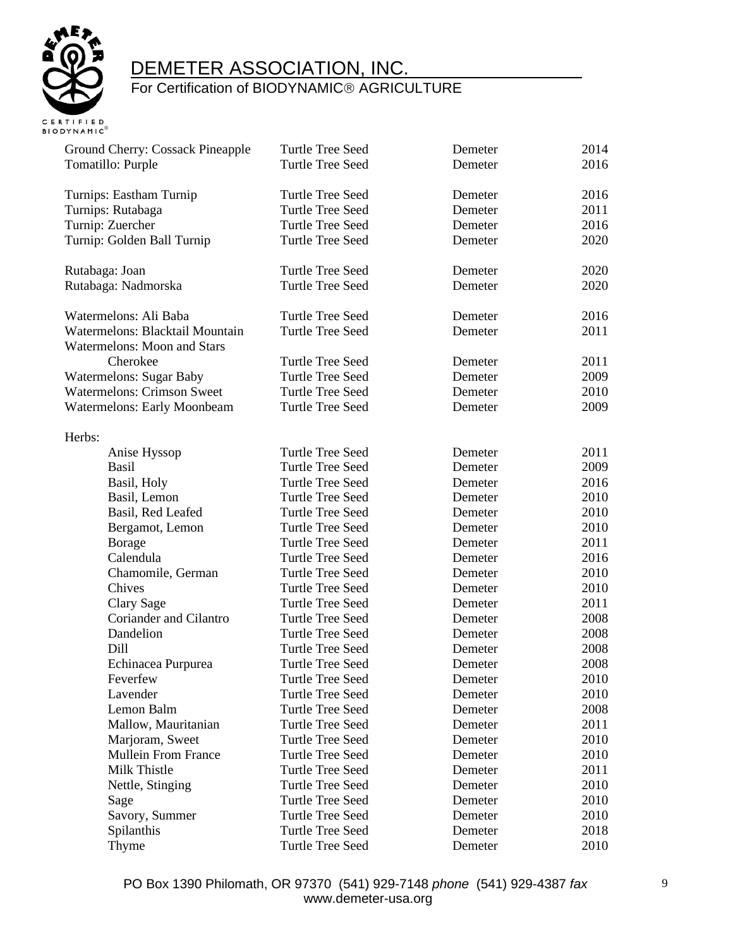

| Ground Cherry: Cossack Pineapple   | <b>Turtle Tree Seed</b> | Demeter | 2014 |
|------------------------------------|-------------------------|---------|------|
| Tomatillo: Purple                  | <b>Turtle Tree Seed</b> | Demeter | 2016 |
|                                    |                         |         |      |
| Turnips: Eastham Turnip            | <b>Turtle Tree Seed</b> | Demeter | 2016 |
| Turnips: Rutabaga                  | <b>Turtle Tree Seed</b> | Demeter | 2011 |
| Turnip: Zuercher                   | <b>Turtle Tree Seed</b> | Demeter | 2016 |
| Turnip: Golden Ball Turnip         | <b>Turtle Tree Seed</b> | Demeter | 2020 |
|                                    |                         |         |      |
| Rutabaga: Joan                     | <b>Turtle Tree Seed</b> | Demeter | 2020 |
| Rutabaga: Nadmorska                | <b>Turtle Tree Seed</b> | Demeter | 2020 |
|                                    |                         |         |      |
| Watermelons: Ali Baba              | <b>Turtle Tree Seed</b> | Demeter | 2016 |
| Watermelons: Blacktail Mountain    | <b>Turtle Tree Seed</b> | Demeter | 2011 |
| <b>Watermelons: Moon and Stars</b> |                         |         |      |
| Cherokee                           | Turtle Tree Seed        | Demeter | 2011 |
| <b>Watermelons: Sugar Baby</b>     | <b>Turtle Tree Seed</b> | Demeter | 2009 |
| <b>Watermelons: Crimson Sweet</b>  | <b>Turtle Tree Seed</b> | Demeter | 2010 |
| <b>Watermelons: Early Moonbeam</b> | Turtle Tree Seed        | Demeter | 2009 |
|                                    |                         |         |      |
| Herbs:                             |                         |         |      |
| Anise Hyssop                       | <b>Turtle Tree Seed</b> | Demeter | 2011 |
| Basil                              | <b>Turtle Tree Seed</b> | Demeter | 2009 |
| Basil, Holy                        | <b>Turtle Tree Seed</b> | Demeter | 2016 |
| Basil, Lemon                       | <b>Turtle Tree Seed</b> | Demeter | 2010 |
| Basil, Red Leafed                  | <b>Turtle Tree Seed</b> | Demeter | 2010 |
| Bergamot, Lemon                    | <b>Turtle Tree Seed</b> | Demeter | 2010 |
| Borage                             | Turtle Tree Seed        | Demeter | 2011 |
| Calendula                          | <b>Turtle Tree Seed</b> | Demeter | 2016 |
| Chamomile, German                  | <b>Turtle Tree Seed</b> | Demeter | 2010 |
| Chives                             | <b>Turtle Tree Seed</b> | Demeter | 2010 |
| Clary Sage                         | <b>Turtle Tree Seed</b> | Demeter | 2011 |
| Coriander and Cilantro             | <b>Turtle Tree Seed</b> | Demeter | 2008 |
| Dandelion                          | <b>Turtle Tree Seed</b> | Demeter | 2008 |
| Dill                               | <b>Turtle Tree Seed</b> | Demeter | 2008 |
| Echinacea Purpurea                 | <b>Turtle Tree Seed</b> | Demeter | 2008 |
| Feverfew                           | Turtle Tree Seed        | Demeter | 2010 |
| Lavender                           | Turtle Tree Seed        | Demeter | 2010 |
| Lemon Balm                         | Turtle Tree Seed        | Demeter | 2008 |
| Mallow, Mauritanian                | <b>Turtle Tree Seed</b> | Demeter | 2011 |
| Marjoram, Sweet                    | <b>Turtle Tree Seed</b> | Demeter | 2010 |
| Mullein From France                | <b>Turtle Tree Seed</b> | Demeter | 2010 |
| Milk Thistle                       | <b>Turtle Tree Seed</b> | Demeter | 2011 |
| Nettle, Stinging                   | Turtle Tree Seed        | Demeter | 2010 |
| Sage                               | Turtle Tree Seed        | Demeter | 2010 |
| Savory, Summer                     | <b>Turtle Tree Seed</b> | Demeter | 2010 |
| Spilanthis                         | <b>Turtle Tree Seed</b> | Demeter | 2018 |
| Thyme                              | Turtle Tree Seed        | Demeter | 2010 |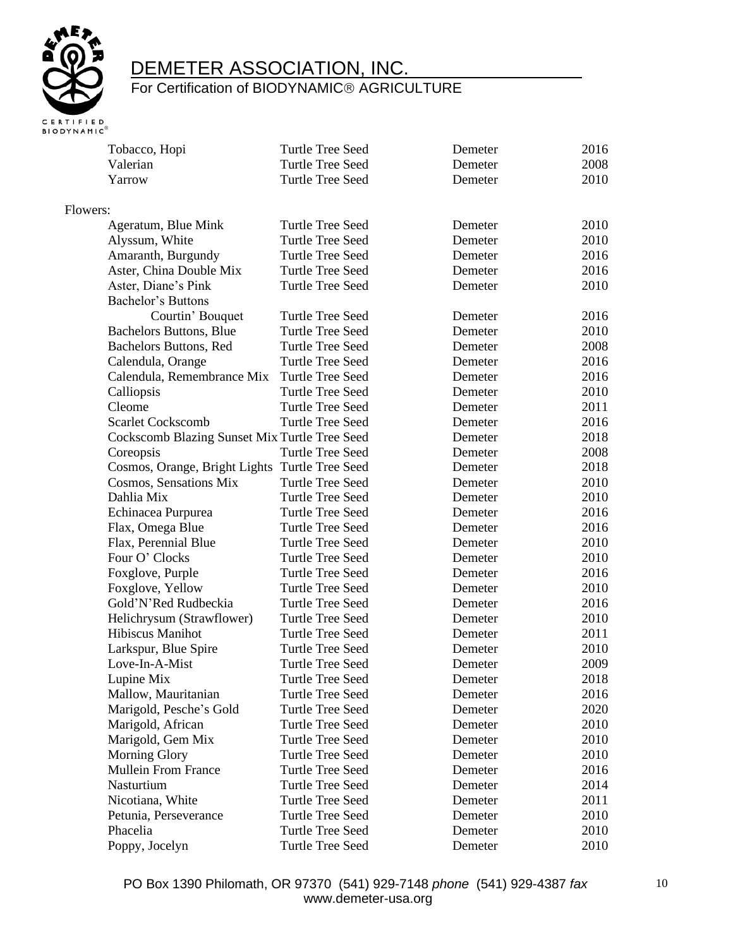

|          | Tobacco, Hopi                                  | <b>Turtle Tree Seed</b> | Demeter | 2016 |
|----------|------------------------------------------------|-------------------------|---------|------|
|          | Valerian                                       | <b>Turtle Tree Seed</b> | Demeter | 2008 |
|          | Yarrow                                         | <b>Turtle Tree Seed</b> | Demeter | 2010 |
| Flowers: |                                                |                         |         |      |
|          | Ageratum, Blue Mink                            | <b>Turtle Tree Seed</b> | Demeter | 2010 |
|          | Alyssum, White                                 | <b>Turtle Tree Seed</b> | Demeter | 2010 |
|          | Amaranth, Burgundy                             | <b>Turtle Tree Seed</b> | Demeter | 2016 |
|          | Aster, China Double Mix                        | <b>Turtle Tree Seed</b> | Demeter | 2016 |
|          | Aster, Diane's Pink                            | <b>Turtle Tree Seed</b> | Demeter | 2010 |
|          | <b>Bachelor's Buttons</b>                      |                         |         |      |
|          | Courtin' Bouquet                               | <b>Turtle Tree Seed</b> | Demeter | 2016 |
|          | <b>Bachelors Buttons, Blue</b>                 | Turtle Tree Seed        | Demeter | 2010 |
|          | Bachelors Buttons, Red                         | <b>Turtle Tree Seed</b> | Demeter | 2008 |
|          | Calendula, Orange                              | Turtle Tree Seed        | Demeter | 2016 |
|          | Calendula, Remembrance Mix                     | Turtle Tree Seed        | Demeter | 2016 |
|          | Calliopsis                                     | <b>Turtle Tree Seed</b> | Demeter | 2010 |
|          | Cleome                                         | <b>Turtle Tree Seed</b> | Demeter | 2011 |
|          | <b>Scarlet Cockscomb</b>                       | <b>Turtle Tree Seed</b> | Demeter | 2016 |
|          | Cockscomb Blazing Sunset Mix Turtle Tree Seed  |                         | Demeter | 2018 |
|          | Coreopsis                                      | Turtle Tree Seed        | Demeter | 2008 |
|          | Cosmos, Orange, Bright Lights Turtle Tree Seed |                         | Demeter | 2018 |
|          | Cosmos, Sensations Mix                         | <b>Turtle Tree Seed</b> | Demeter | 2010 |
|          | Dahlia Mix                                     | Turtle Tree Seed        | Demeter | 2010 |
|          | Echinacea Purpurea                             | <b>Turtle Tree Seed</b> | Demeter | 2016 |
|          | Flax, Omega Blue                               | <b>Turtle Tree Seed</b> | Demeter | 2016 |
|          | Flax, Perennial Blue                           | <b>Turtle Tree Seed</b> | Demeter | 2010 |
|          | Four O' Clocks                                 | <b>Turtle Tree Seed</b> | Demeter | 2010 |
|          | Foxglove, Purple                               | <b>Turtle Tree Seed</b> | Demeter | 2016 |
|          | Foxglove, Yellow                               | <b>Turtle Tree Seed</b> | Demeter | 2010 |
|          | Gold'N'Red Rudbeckia                           | Turtle Tree Seed        | Demeter | 2016 |
|          | Helichrysum (Strawflower)                      | <b>Turtle Tree Seed</b> | Demeter | 2010 |
|          | Hibiscus Manihot                               | <b>Turtle Tree Seed</b> | Demeter | 2011 |
|          | Larkspur, Blue Spire                           | <b>Turtle Tree Seed</b> | Demeter | 2010 |
|          | Love-In-A-Mist                                 | <b>Turtle Tree Seed</b> | Demeter | 2009 |
|          | Lupine Mix                                     | <b>Turtle Tree Seed</b> | Demeter | 2018 |
|          | Mallow, Mauritanian                            | <b>Turtle Tree Seed</b> | Demeter | 2016 |
|          | Marigold, Pesche's Gold                        | <b>Turtle Tree Seed</b> | Demeter | 2020 |
|          | Marigold, African                              | <b>Turtle Tree Seed</b> | Demeter | 2010 |
|          | Marigold, Gem Mix                              | <b>Turtle Tree Seed</b> | Demeter | 2010 |
|          | <b>Morning Glory</b>                           | Turtle Tree Seed        | Demeter | 2010 |
|          | <b>Mullein From France</b>                     | <b>Turtle Tree Seed</b> | Demeter | 2016 |
|          | Nasturtium                                     | <b>Turtle Tree Seed</b> | Demeter | 2014 |
|          | Nicotiana, White                               | <b>Turtle Tree Seed</b> | Demeter | 2011 |
|          | Petunia, Perseverance                          | <b>Turtle Tree Seed</b> | Demeter | 2010 |
|          | Phacelia                                       | <b>Turtle Tree Seed</b> | Demeter | 2010 |
|          | Poppy, Jocelyn                                 | Turtle Tree Seed        | Demeter | 2010 |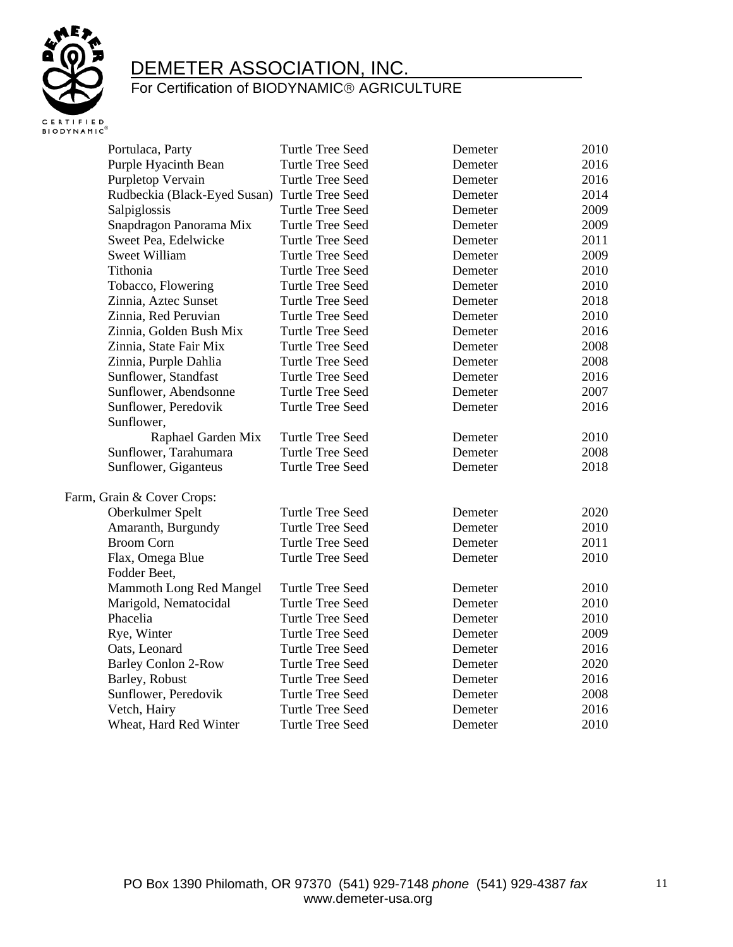

| Portulaca, Party             | <b>Turtle Tree Seed</b> | Demeter | 2010 |
|------------------------------|-------------------------|---------|------|
| Purple Hyacinth Bean         | <b>Turtle Tree Seed</b> | Demeter | 2016 |
| Purpletop Vervain            | <b>Turtle Tree Seed</b> | Demeter | 2016 |
| Rudbeckia (Black-Eyed Susan) | Turtle Tree Seed        | Demeter | 2014 |
| Salpiglossis                 | Turtle Tree Seed        | Demeter | 2009 |
| Snapdragon Panorama Mix      | <b>Turtle Tree Seed</b> | Demeter | 2009 |
| Sweet Pea, Edelwicke         | Turtle Tree Seed        | Demeter | 2011 |
| <b>Sweet William</b>         | Turtle Tree Seed        | Demeter | 2009 |
| Tithonia                     | Turtle Tree Seed        | Demeter | 2010 |
| Tobacco, Flowering           | <b>Turtle Tree Seed</b> | Demeter | 2010 |
| Zinnia, Aztec Sunset         | <b>Turtle Tree Seed</b> | Demeter | 2018 |
| Zinnia, Red Peruvian         | Turtle Tree Seed        | Demeter | 2010 |
| Zinnia, Golden Bush Mix      | <b>Turtle Tree Seed</b> | Demeter | 2016 |
| Zinnia, State Fair Mix       | Turtle Tree Seed        | Demeter | 2008 |
| Zinnia, Purple Dahlia        | Turtle Tree Seed        | Demeter | 2008 |
| Sunflower, Standfast         | Turtle Tree Seed        | Demeter | 2016 |
| Sunflower, Abendsonne        | <b>Turtle Tree Seed</b> | Demeter | 2007 |
| Sunflower, Peredovik         | <b>Turtle Tree Seed</b> | Demeter | 2016 |
| Sunflower,                   |                         |         |      |
| Raphael Garden Mix           | Turtle Tree Seed        | Demeter | 2010 |
| Sunflower, Tarahumara        | Turtle Tree Seed        | Demeter | 2008 |
| Sunflower, Giganteus         | <b>Turtle Tree Seed</b> | Demeter | 2018 |
| Farm, Grain & Cover Crops:   |                         |         |      |
| Oberkulmer Spelt             | <b>Turtle Tree Seed</b> | Demeter | 2020 |
| Amaranth, Burgundy           | <b>Turtle Tree Seed</b> | Demeter | 2010 |
| <b>Broom Corn</b>            | Turtle Tree Seed        | Demeter | 2011 |
| Flax, Omega Blue             | Turtle Tree Seed        | Demeter | 2010 |
| Fodder Beet,                 |                         |         |      |
| Mammoth Long Red Mangel      | <b>Turtle Tree Seed</b> | Demeter | 2010 |
| Marigold, Nematocidal        | <b>Turtle Tree Seed</b> | Demeter | 2010 |
| Phacelia                     | <b>Turtle Tree Seed</b> | Demeter | 2010 |
| Rye, Winter                  | Turtle Tree Seed        | Demeter | 2009 |
| Oats, Leonard                | <b>Turtle Tree Seed</b> | Demeter | 2016 |
| <b>Barley Conlon 2-Row</b>   | Turtle Tree Seed        | Demeter | 2020 |
| Barley, Robust               | <b>Turtle Tree Seed</b> | Demeter | 2016 |
| Sunflower, Peredovik         | <b>Turtle Tree Seed</b> | Demeter | 2008 |
| Vetch, Hairy                 | <b>Turtle Tree Seed</b> | Demeter | 2016 |
| Wheat, Hard Red Winter       | <b>Turtle Tree Seed</b> | Demeter | 2010 |